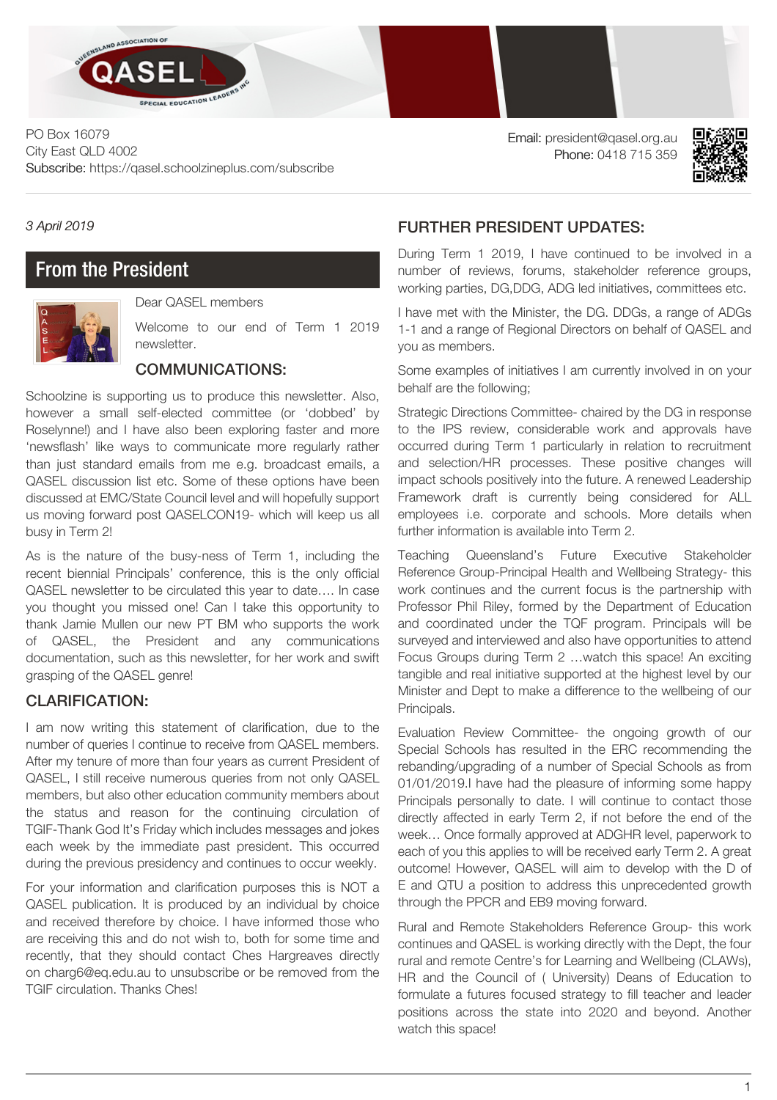

PO Box 16079 City East QLD 4002 Subscribe: https://qasel.schoolzineplus.com/subscribe Email: president@qasel.org.au Phone: 0418 715 359



#### *3 April 2019*

# From the President



Dear QASEL members

Welcome to our end of Term 1 2019 newsletter.

#### COMMUNICATIONS:

Schoolzine is supporting us to produce this newsletter. Also, however a small self-elected committee (or 'dobbed' by Roselynne!) and I have also been exploring faster and more 'newsflash' like ways to communicate more regularly rather than just standard emails from me e.g. broadcast emails, a QASEL discussion list etc. Some of these options have been discussed at EMC/State Council level and will hopefully support us moving forward post QASELCON19- which will keep us all busy in Term 2!

As is the nature of the busy-ness of Term 1, including the recent biennial Principals' conference, this is the only official QASEL newsletter to be circulated this year to date…. In case you thought you missed one! Can I take this opportunity to thank Jamie Mullen our new PT BM who supports the work of QASEL, the President and any communications documentation, such as this newsletter, for her work and swift grasping of the QASEL genre!

## CLARIFICATION:

I am now writing this statement of clarification, due to the number of queries I continue to receive from QASEL members. After my tenure of more than four years as current President of QASEL, I still receive numerous queries from not only QASEL members, but also other education community members about the status and reason for the continuing circulation of TGIF-Thank God It's Friday which includes messages and jokes each week by the immediate past president. This occurred during the previous presidency and continues to occur weekly.

For your information and clarification purposes this is NOT a QASEL publication. It is produced by an individual by choice and received therefore by choice. I have informed those who are receiving this and do not wish to, both for some time and recently, that they should contact Ches Hargreaves directly on [charg6@eq.edu.au](mailto:charg6@eq.edu.au) to unsubscribe or be removed from the TGIF circulation. Thanks Ches!

## FURTHER PRESIDENT UPDATES:

During Term 1 2019, I have continued to be involved in a number of reviews, forums, stakeholder reference groups, working parties, DG,DDG, ADG led initiatives, committees etc.

I have met with the Minister, the DG. DDGs, a range of ADGs 1-1 and a range of Regional Directors on behalf of QASEL and you as members.

Some examples of initiatives I am currently involved in on your behalf are the following;

Strategic Directions Committee- chaired by the DG in response to the IPS review, considerable work and approvals have occurred during Term 1 particularly in relation to recruitment and selection/HR processes. These positive changes will impact schools positively into the future. A renewed Leadership Framework draft is currently being considered for ALL employees i.e. corporate and schools. More details when further information is available into Term 2.

Teaching Queensland's Future Executive Stakeholder Reference Group-Principal Health and Wellbeing Strategy- this work continues and the current focus is the partnership with Professor Phil Riley, formed by the Department of Education and coordinated under the TQF program. Principals will be surveyed and interviewed and also have opportunities to attend Focus Groups during Term 2 …watch this space! An exciting tangible and real initiative supported at the highest level by our Minister and Dept to make a difference to the wellbeing of our Principals.

Evaluation Review Committee- the ongoing growth of our Special Schools has resulted in the ERC recommending the rebanding/upgrading of a number of Special Schools as from 01/01/2019.I have had the pleasure of informing some happy Principals personally to date. I will continue to contact those directly affected in early Term 2, if not before the end of the week… Once formally approved at ADGHR level, paperwork to each of you this applies to will be received early Term 2. A great outcome! However, QASEL will aim to develop with the D of E and QTU a position to address this unprecedented growth through the PPCR and EB9 moving forward.

Rural and Remote Stakeholders Reference Group- this work continues and QASEL is working directly with the Dept, the four rural and remote Centre's for Learning and Wellbeing (CLAWs), HR and the Council of ( University) Deans of Education to formulate a futures focused strategy to fill teacher and leader positions across the state into 2020 and beyond. Another watch this space!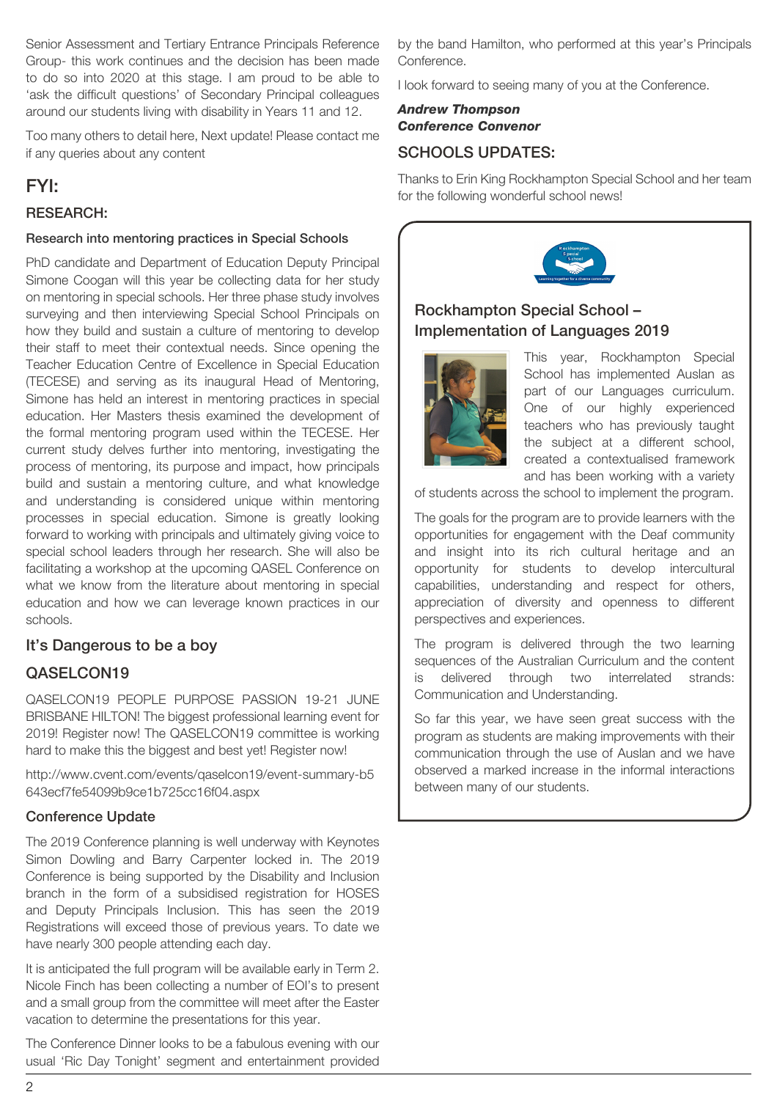Senior Assessment and Tertiary Entrance Principals Reference Group- this work continues and the decision has been made to do so into 2020 at this stage. I am proud to be able to 'ask the difficult questions' of Secondary Principal colleagues around our students living with disability in Years 11 and 12.

Too many others to detail here, Next update! Please contact me if any queries about any content

## FYI:

#### RESEARCH:

#### Research into mentoring practices in Special Schools

PhD candidate and Department of Education Deputy Principal Simone Coogan will this year be collecting data for her study on mentoring in special schools. Her three phase study involves surveying and then interviewing Special School Principals on how they build and sustain a culture of mentoring to develop their staff to meet their contextual needs. Since opening the Teacher Education Centre of Excellence in Special Education (TECESE) and serving as its inaugural Head of Mentoring, Simone has held an interest in mentoring practices in special education. Her Masters thesis examined the development of the formal mentoring program used within the TECESE. Her current study delves further into mentoring, investigating the process of mentoring, its purpose and impact, how principals build and sustain a mentoring culture, and what knowledge and understanding is considered unique within mentoring processes in special education. Simone is greatly looking forward to working with principals and ultimately giving voice to special school leaders through her research. She will also be facilitating a workshop at the upcoming QASEL Conference on what we know from the literature about mentoring in special education and how we can leverage known practices in our schools.

## It's Dangerous to be a boy

## QASELCON19

QASELCON19 PEOPLE PURPOSE PASSION 19-21 JUNE BRISBANE HILTON! The biggest professional learning event for 2019! Register now! The QASELCON19 committee is working hard to make this the biggest and best yet! Register now!

http://www.cvent.com/events/qaselcon19/event-summary-b5 643ecf7fe54099b9ce1b725cc16f04.aspx

#### Conference Update

The 2019 Conference planning is well underway with Keynotes Simon Dowling and Barry Carpenter locked in. The 2019 Conference is being supported by the Disability and Inclusion branch in the form of a subsidised registration for HOSES and Deputy Principals Inclusion. This has seen the 2019 Registrations will exceed those of previous years. To date we have nearly 300 people attending each day.

It is anticipated the full program will be available early in Term 2. Nicole Finch has been collecting a number of EOI's to present and a small group from the committee will meet after the Easter vacation to determine the presentations for this year.

The Conference Dinner looks to be a fabulous evening with our usual 'Ric Day Tonight' segment and entertainment provided by the band Hamilton, who performed at this year's Principals Conference.

I look forward to seeing many of you at the Conference.

## *Andrew Thompson Conference Convenor*

## SCHOOLS UPDATES:

Thanks to Erin King Rockhampton Special School and her team for the following wonderful school news!



## Rockhampton Special School – Implementation of Languages 2019



This year, Rockhampton Special School has implemented Auslan as part of our Languages curriculum. One of our highly experienced teachers who has previously taught the subject at a different school, created a contextualised framework and has been working with a variety

of students across the school to implement the program.

The goals for the program are to provide learners with the opportunities for engagement with the Deaf community and insight into its rich cultural heritage and an opportunity for students to develop intercultural capabilities, understanding and respect for others, appreciation of diversity and openness to different perspectives and experiences.

The program is delivered through the two learning sequences of the Australian Curriculum and the content is delivered through two interrelated strands: Communication and Understanding.

So far this year, we have seen great success with the program as students are making improvements with their communication through the use of Auslan and we have observed a marked increase in the informal interactions between many of our students.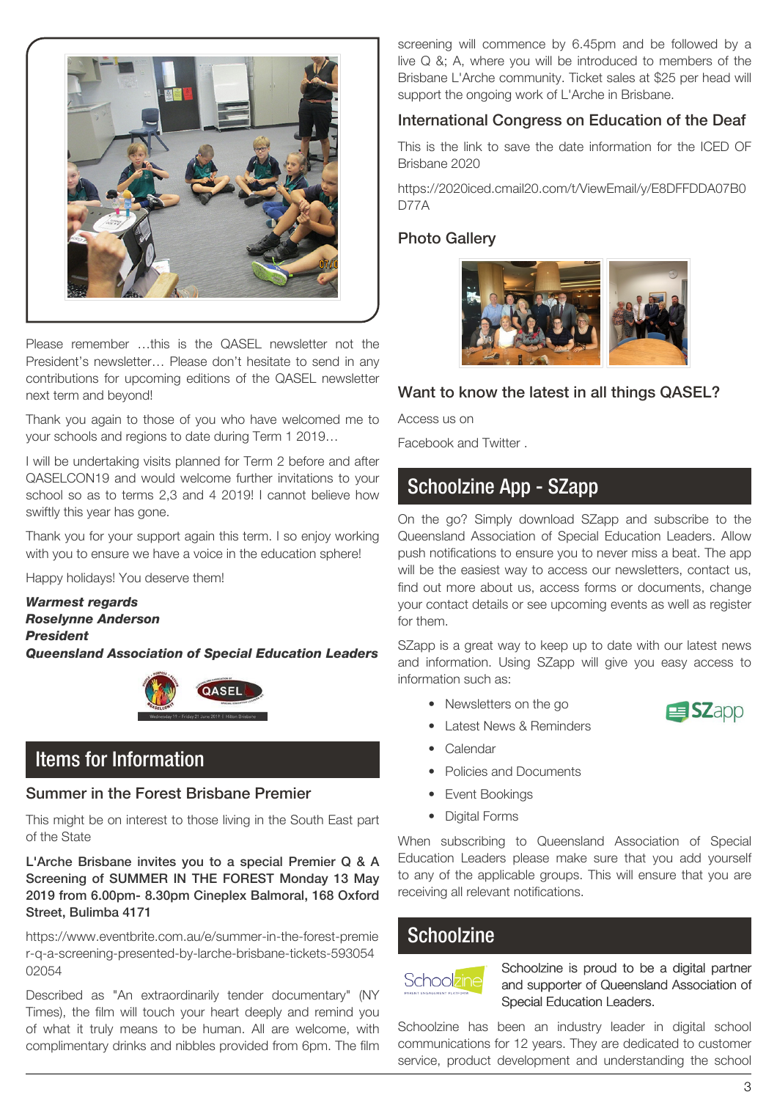

Please remember …this is the QASEL newsletter not the President's newsletter… Please don't hesitate to send in any contributions for upcoming editions of the QASEL newsletter next term and beyond!

Thank you again to those of you who have welcomed me to your schools and regions to date during Term 1 2019…

I will be undertaking visits planned for Term 2 before and after QASELCON19 and would welcome further invitations to your school so as to terms 2,3 and 4 2019! I cannot believe how swiftly this year has gone.

Thank you for your support again this term. I so enjoy working with you to ensure we have a voice in the education sphere!

Happy holidays! You deserve them!

*Warmest regards Roselynne Anderson President Queensland Association of Special Education Leaders*



# Items for Information

#### Summer in the Forest Brisbane Premier

This might be on interest to those living in the South East part of the State

L'Arche Brisbane invites you to a special Premier Q & A Screening of SUMMER IN THE FOREST Monday 13 May 2019 from 6.00pm- 8.30pm Cineplex Balmoral, 168 Oxford Street, Bulimba 4171

https://www.eventbrite.com.au/e/summer-in-the-forest-premie r-q-a-screening-presented-by-larche-brisbane-tickets-593054 02054

Described as "An extraordinarily tender documentary" (NY Times), the film will touch your heart deeply and remind you of what it truly means to be human. All are welcome, with complimentary drinks and nibbles provided from 6pm. The film screening will commence by 6.45pm and be followed by a live Q &; A, where you will be introduced to members of the Brisbane L'Arche community. Ticket sales at \$25 per head will support the ongoing work of L'Arche in Brisbane.

#### International Congress on Education of the Deaf

This is the link to save the date information for the ICED OF Brisbane 2020

https://2020iced.cmail20.com/t/ViewEmail/y/E8DFFDDA07B0 D77A

#### Photo Gallery



## Want to know the latest in all things QASEL?

Access us on

[Facebook](https://www.facebook.com/QueenslandAssociationSpecialEducationLeaders) and [Twitter](https://twitter.com/search?q=QASEL&src=typd) .

# Schoolzine App - SZapp

On the go? Simply download SZapp and subscribe to the Queensland Association of Special Education Leaders. Allow push notifications to ensure you to never miss a beat. The app will be the easiest way to access our newsletters, contact us, find out more about us, access forms or documents, change your contact details or see upcoming events as well as register for them.

SZapp is a great way to keep up to date with our latest news and information. Using SZapp will give you easy access to information such as:

• Newsletters on the go



- Latest News & Reminders
- Calendar
- Policies and Documents
- Event Bookings
- Digital Forms

When subscribing to Queensland Association of Special Education Leaders please make sure that you add yourself to any of the applicable groups. This will ensure that you are receiving all relevant notifications.

## **Schoolzine**



Schoolzine is proud to be a digital partner and supporter of Queensland Association of Special Education Leaders.

Schoolzine has been an industry leader in digital school communications for 12 years. They are dedicated to customer service, product development and understanding the school